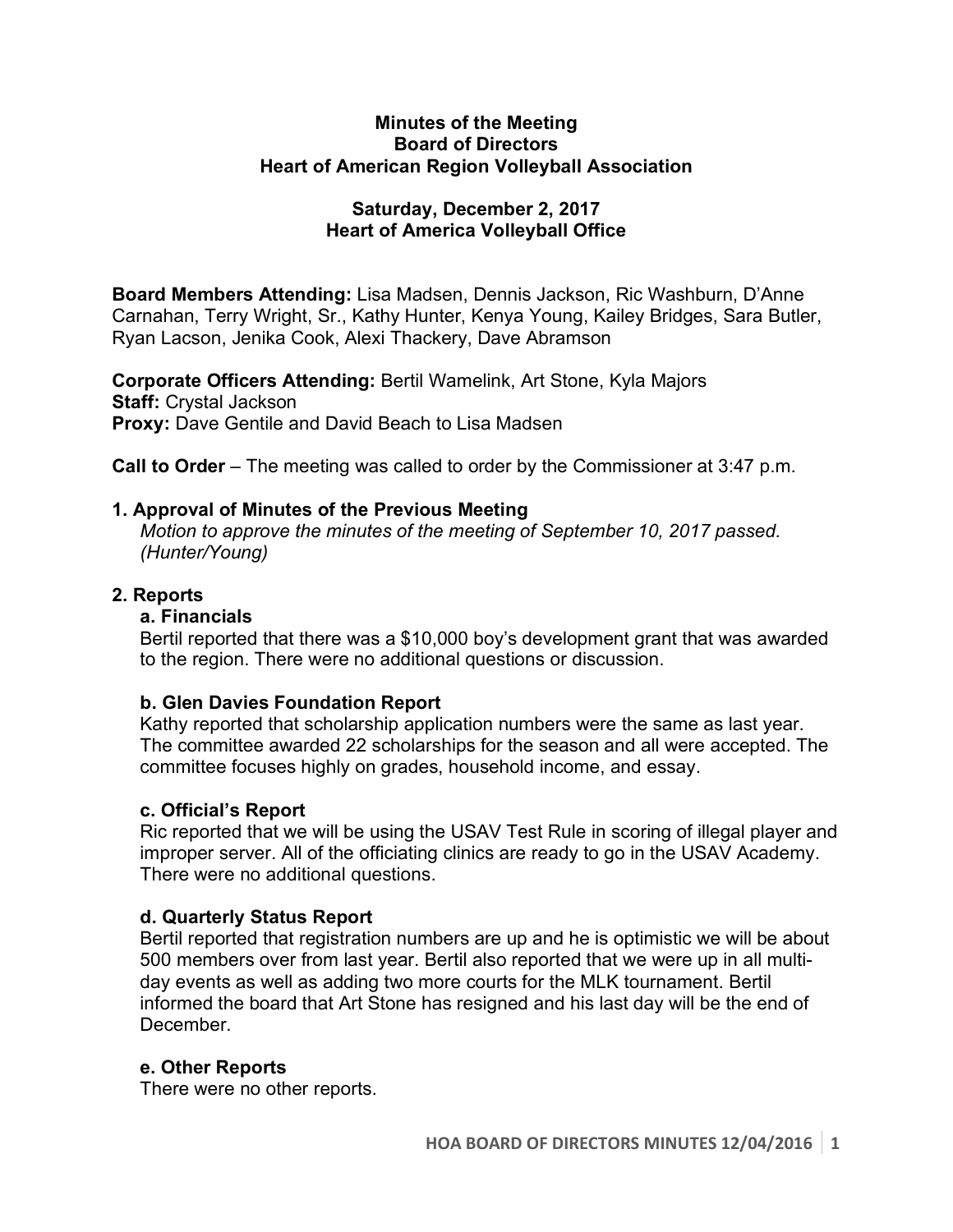#### **Minutes of the Meeting Board of Directors Heart of American Region Volleyball Association**

### **Saturday, December 2, 2017 Heart of America Volleyball Office**

**Board Members Attending:** Lisa Madsen, Dennis Jackson, Ric Washburn, D'Anne Carnahan, Terry Wright, Sr., Kathy Hunter, Kenya Young, Kailey Bridges, Sara Butler, Ryan Lacson, Jenika Cook, Alexi Thackery, Dave Abramson

**Corporate Officers Attending:** Bertil Wamelink, Art Stone, Kyla Majors **Staff:** Crystal Jackson **Proxy:** Dave Gentile and David Beach to Lisa Madsen

**Call to Order** – The meeting was called to order by the Commissioner at 3:47 p.m.

### **1. Approval of Minutes of the Previous Meeting**

*Motion to approve the minutes of the meeting of September 10, 2017 passed. (Hunter/Young)* 

### **2. Reports**

### **a. Financials**

Bertil reported that there was a \$10,000 boy's development grant that was awarded to the region. There were no additional questions or discussion.

# **b. Glen Davies Foundation Report**

Kathy reported that scholarship application numbers were the same as last year. The committee awarded 22 scholarships for the season and all were accepted. The committee focuses highly on grades, household income, and essay.

### **c. Official's Report**

Ric reported that we will be using the USAV Test Rule in scoring of illegal player and improper server. All of the officiating clinics are ready to go in the USAV Academy. There were no additional questions.

# **d. Quarterly Status Report**

Bertil reported that registration numbers are up and he is optimistic we will be about 500 members over from last year. Bertil also reported that we were up in all multiday events as well as adding two more courts for the MLK tournament. Bertil informed the board that Art Stone has resigned and his last day will be the end of December.

### **e. Other Reports**

There were no other reports.